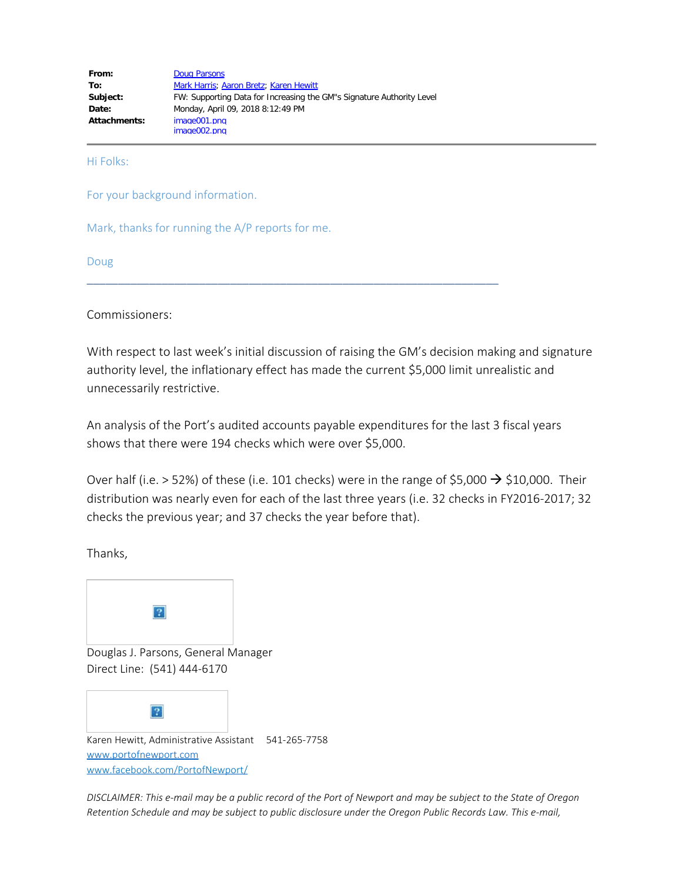| From:        | <b>Doug Parsons</b>                                                   |
|--------------|-----------------------------------------------------------------------|
| To:          | Mark Harris; Aaron Bretz; Karen Hewitt                                |
| Subject:     | FW: Supporting Data for Increasing the GM"s Signature Authority Level |
| Date:        | Monday, April 09, 2018 8:12:49 PM                                     |
| Attachments: | image001.png                                                          |
|              | image002.png                                                          |

Hi Folks:

For your background information.

Mark, thanks for running the A/P reports for me.

Doug

Commissioners:

With respect to last week's initial discussion of raising the GM's decision making and signature authority level, the inflationary effect has made the current \$5,000 limit unrealistic and unnecessarily restrictive.

An analysis of the Port's audited accounts payable expenditures for the last 3 fiscal years shows that there were 194 checks which were over \$5,000.

\_\_\_\_\_\_\_\_\_\_\_\_\_\_\_\_\_\_\_\_\_\_\_\_\_\_\_\_\_\_\_\_\_\_\_\_\_\_\_\_\_\_\_\_\_\_\_\_\_\_\_\_\_\_\_\_\_\_\_\_\_\_\_\_\_\_

Over half (i.e. > 52%) of these (i.e. 101 checks) were in the range of \$5,000  $\rightarrow$  \$10,000. Their distribution was nearly even for each of the last three years (i.e. 32 checks in FY2016-2017; 32 checks the previous year; and 37 checks the year before that).

Thanks,



*DISCLAIMER: This e-mail may be a public record of the Port of Newport and may be subject to the State of Oregon Retention Schedule and may be subject to public disclosure under the Oregon Public Records Law. This e-mail,*